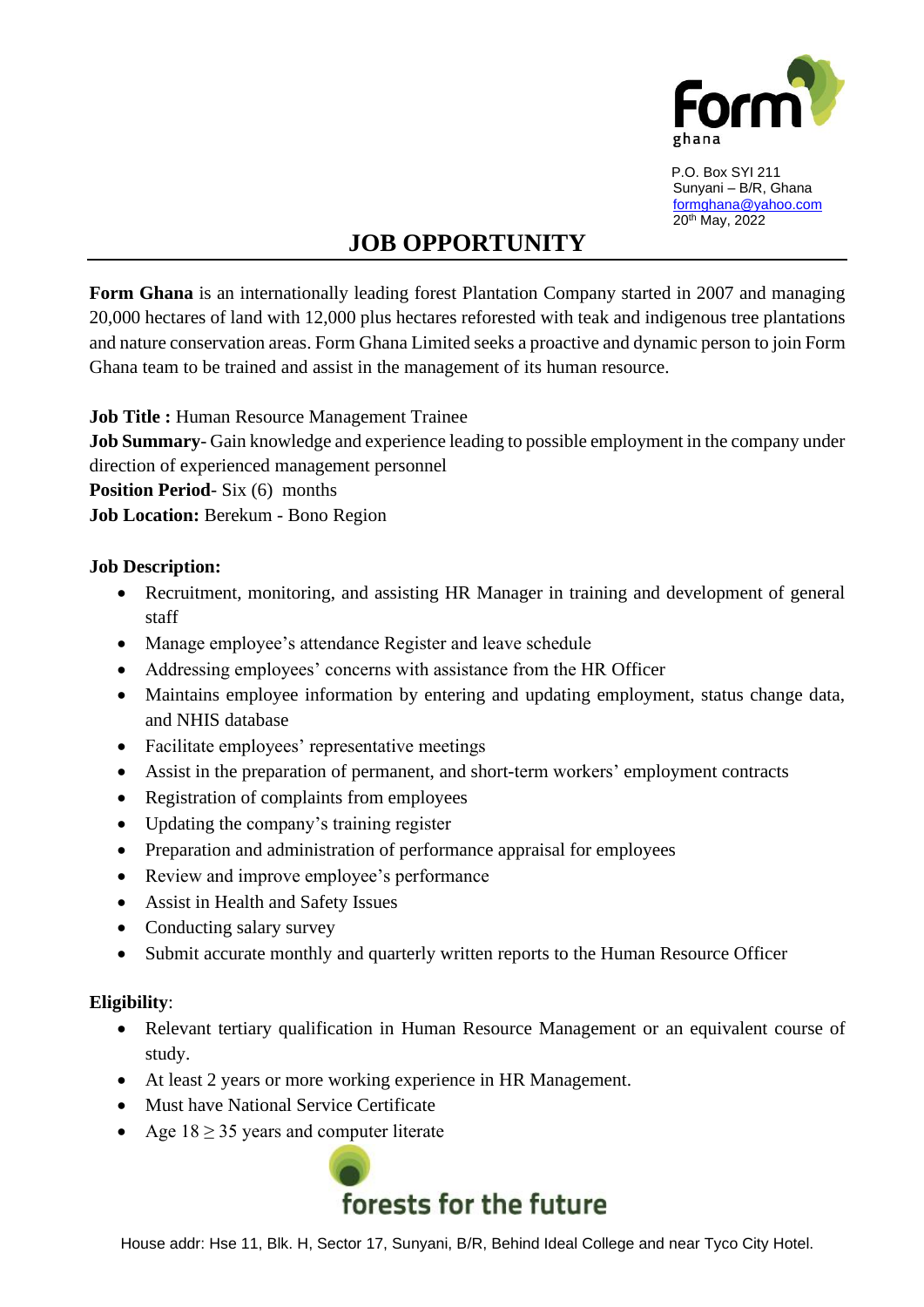

 P.O. Box SYI 211 Sunyani – B/R, Ghana [formghana@yahoo.com](mailto:formghana@yahoo.com) 20th May, 2022

## **JOB OPPORTUNITY**

**Form Ghana** is an internationally leading forest Plantation Company started in 2007 and managing 20,000 hectares of land with 12,000 plus hectares reforested with teak and indigenous tree plantations and nature conservation areas. Form Ghana Limited seeks a proactive and dynamic person to join Form Ghana team to be trained and assist in the management of its human resource.

**Job Title :** Human Resource Management Trainee

**Job Summary**- Gain knowledge and experience leading to possible employment in the company under direction of experienced management personnel

**Position Period**- Six (6) months

**Job Location:** Berekum - Bono Region

## **Job Description:**

- Recruitment, monitoring, and assisting HR Manager in training and development of general staff
- Manage employee's attendance Register and leave schedule
- Addressing employees' concerns with assistance from the HR Officer
- Maintains employee information by entering and updating employment, status change data, and NHIS database
- Facilitate employees' representative meetings
- Assist in the preparation of permanent, and short-term workers' employment contracts
- Registration of complaints from employees
- Updating the company's training register
- Preparation and administration of performance appraisal for employees
- Review and improve employee's performance
- Assist in Health and Safety Issues
- Conducting salary survey
- Submit accurate monthly and quarterly written reports to the Human Resource Officer

## **Eligibility**:

- Relevant tertiary qualification in Human Resource Management or an equivalent course of study.
- At least 2 years or more working experience in HR Management.
- Must have National Service Certificate
- Age  $18 \geq 35$  years and computer literate



House addr: Hse 11, Blk. H, Sector 17, Sunyani, B/R, Behind Ideal College and near Tyco City Hotel.